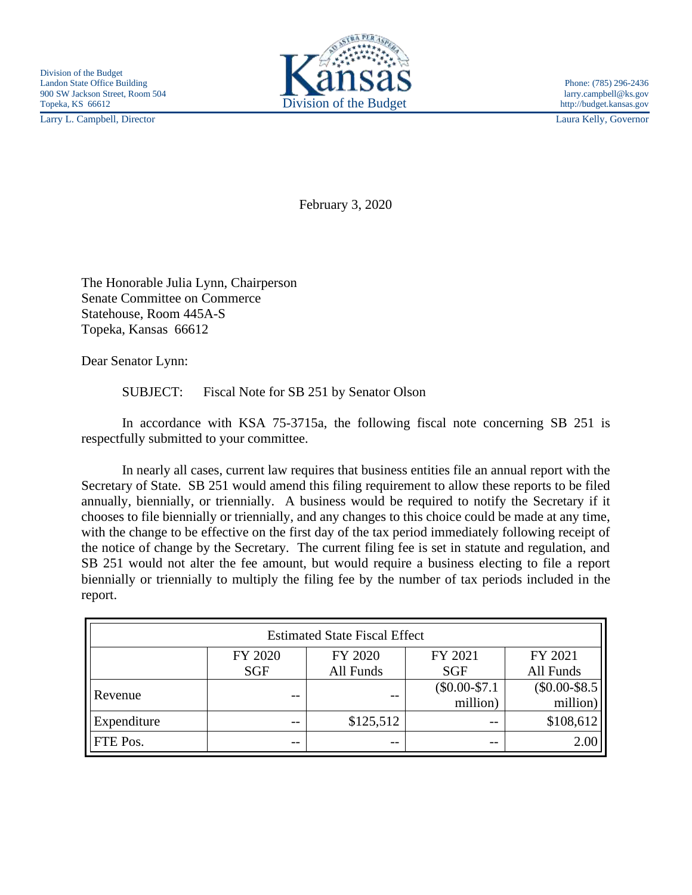Larry L. Campbell, Director Laura Kelly, Governor



February 3, 2020

The Honorable Julia Lynn, Chairperson Senate Committee on Commerce Statehouse, Room 445A-S Topeka, Kansas 66612

Dear Senator Lynn:

SUBJECT: Fiscal Note for SB 251 by Senator Olson

In accordance with KSA 75-3715a, the following fiscal note concerning SB 251 is respectfully submitted to your committee.

In nearly all cases, current law requires that business entities file an annual report with the Secretary of State. SB 251 would amend this filing requirement to allow these reports to be filed annually, biennially, or triennially. A business would be required to notify the Secretary if it chooses to file biennially or triennially, and any changes to this choice could be made at any time, with the change to be effective on the first day of the tax period immediately following receipt of the notice of change by the Secretary. The current filing fee is set in statute and regulation, and SB 251 would not alter the fee amount, but would require a business electing to file a report biennially or triennially to multiply the filing fee by the number of tax periods included in the report.

| <b>Estimated State Fiscal Effect</b> |            |           |                |                 |
|--------------------------------------|------------|-----------|----------------|-----------------|
|                                      | FY 2020    | FY 2020   | FY 2021        | FY 2021         |
|                                      | <b>SGF</b> | All Funds | <b>SGF</b>     | All Funds       |
| Revenue                              | --         | --        | $($0.00-$7.1)$ | $(\$0.00-\$8.5$ |
|                                      |            |           | million)       | million)        |
| Expenditure                          | --         | \$125,512 | $ -$           | \$108,612       |
| FTE Pos.                             | --         | --        | $ -$           | 2.00            |